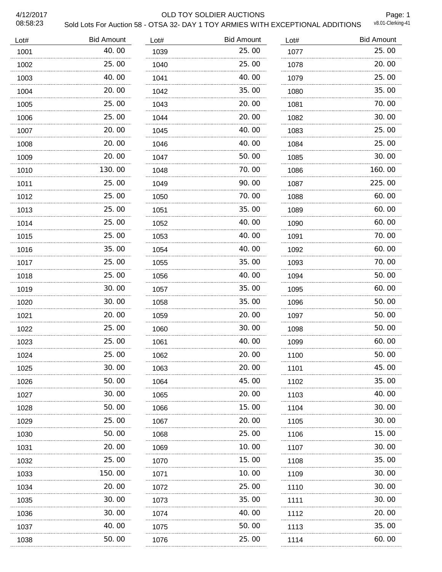#### 4/12/2017 OLD TOY SOLDIER AUCTIONS

Page: 1<br>v8.01-Clerking-41

| Lot# | <b>Bid Amount</b> | Lot# | <b>Bid Amount</b> | Lot# | <b>Bid Amount</b> |
|------|-------------------|------|-------------------|------|-------------------|
| 1001 | 40.00             | 1039 | 25.00             | 1077 | 25.00             |
| 1002 | 25.00             | 1040 | 25.00             | 1078 | 20.00             |
| 1003 | 40.00             | 1041 | 40.00             | 1079 | 25.00             |
| 1004 | 20.00             | 1042 | 35.00             | 1080 | 35.00             |
| 1005 | 25.00             | 1043 | 20.00             | 1081 | 70.00             |
| 1006 | 25.00             | 1044 | 20,00             | 1082 | 30.00             |
| 1007 | 20.00             | 1045 | 40.00             | 1083 | 25.00             |
| 1008 | 20.00             | 1046 | 40.00             | 1084 | 25.00             |
| 1009 | 20.00             | 1047 | 50.00             | 1085 | 30.00             |
| 1010 | 130.00            | 1048 | 70.00             | 1086 | 160.00            |
| 1011 | 25.00             | 1049 | 90.00             | 1087 | 225.00            |
| 1012 | 25.00             | 1050 | 70.00             | 1088 | 60.00             |
| 1013 | 25.00<br>.        | 1051 | 35.00             | 1089 | 60.00             |
| 1014 | 25.00             | 1052 | 40.00             | 1090 | 60.00             |
| 1015 | 25.00             | 1053 | 40.00             | 1091 | 70.00             |
| 1016 | 35.00             | 1054 | 40.00             | 1092 | 60.00             |
| 1017 | 25.00             | 1055 | 35.00             | 1093 | 70.00             |
| 1018 | 25.00             | 1056 | 40.00             | 1094 | 50.00             |
| 1019 | 30.00             | 1057 | 35.00             | 1095 | 60.00             |
| 1020 | 30.00             | 1058 | 35.00             | 1096 | 50.00             |
| 1021 | 20.00             | 1059 | 20.00             | 1097 | 50.00             |
| 1022 | 25.00             | 1060 | 30.00             | 1098 | 50.00             |
| 1023 | 25.00             | 1061 | 40.00             | 1099 | 60.00             |
| 1024 | 25.00             | 1062 | 20.00             | 1100 | 50.00             |
| 1025 | 30.00             | 1063 | 20.00             | 1101 | 45.00             |
| 1026 | 50.00             | 1064 | 45.00             | 1102 | 35.00             |
| 1027 | 30.00             | 1065 | 20.00             | 1103 | 40.00             |
| 1028 | 50.00             | 1066 | 15.00             | 1104 | 30.00             |
| 1029 | 25.00             | 1067 | 20.00             | 1105 | 30.00             |
| 1030 | 50.00             | 1068 | 25.00             | 1106 | 15.00             |
| 1031 | 20. 00            | 1069 | 10. 00            | 1107 | 30. 00            |
| 1032 | 25.00             | 1070 | 15.00             | 1108 | 35.00             |
| 1033 | 150.00            | 1071 | 10.00             | 1109 | 30.00             |
| 1034 | 20.00             | 1072 | 25.00             | 1110 | 30.00             |
| 1035 | 30.00             | 1073 | 35.00             | 1111 | 30.00             |
| 1036 | 30.00             | 1074 | 40.00             | 1112 | 20.00             |
| 1037 | 40.00             | 1075 | 50.00             | 1113 | 35.00             |
| 1038 | 50.00             | 1076 | 25.00             | 1114 | 60.00             |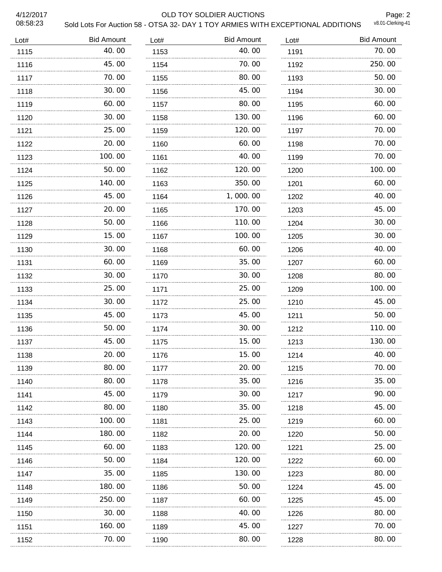#### 4/12/2017 OLD TOY SOLDIER AUCTIONS

Page: 2<br>v8.01-Clerking-41

| Lot# | <b>Bid Amount</b> | Lot# | <b>Bid Amount</b> | Lot# | <b>Bid Amount</b> |
|------|-------------------|------|-------------------|------|-------------------|
| 1115 | 40.00             | 1153 | 40.00             | 1191 | 70.00             |
| 1116 | 45.00             | 1154 | 70.00             | 1192 | 250.00            |
| 1117 | 70.00             | 1155 | 80.00             | 1193 | 50.00             |
| 1118 | 30.00             | 1156 | 45.00             | 1194 | 30.00             |
| 1119 | 60.00             | 1157 | 80.00             | 1195 | 60.00             |
| 1120 | 30.00             | 1158 | 130.00            | 1196 | 60.00             |
| 1121 | 25.00             | 1159 | 120.00            | 1197 | 70.00             |
| 1122 | 20.00             | 1160 | 60.00             | 1198 | 70.00             |
| 1123 | 100.00            | 1161 | 40.00             | 1199 | 70.00             |
| 1124 | 50.00             | 1162 | 120.00            | 1200 | 100.00            |
| 1125 | 140.00            | 1163 | 350.00            | 1201 | 60.00             |
| 1126 | 45.00             | 1164 | 1,000.00          | 1202 | 40.00             |
| 1127 | 20.00             | 1165 | 170.00            | 1203 | 45.00             |
| 1128 | 50.00             | 1166 | 110.00            | 1204 | 30.00             |
| 1129 | 15.00             | 1167 | 100.00            | 1205 | 30.00             |
| 1130 | 30.00             | 1168 | 60.00             | 1206 | 40.00             |
| 1131 | 60.00             | 1169 | 35.00             | 1207 | 60.00             |
| 1132 | 30.00             | 1170 | 30.00             | 1208 | 80.00             |
| 1133 | 25.00             | 1171 | 25.00             | 1209 | 100.00            |
| 1134 | 30.00             | 1172 | 25.00             | 1210 | 45.00             |
| 1135 | .<br>45.00        | 1173 | 45.00             | 1211 | 50.00             |
| 1136 | 50.00             | 1174 | 30.00             | 1212 | 110.00            |
| 1137 | 45.00             | 1175 | 15.00             | 1213 | 130.00            |
| 1138 | 20.00             | 1176 | 15.00             | 1214 | 40.00             |
| 1139 | 80.00             | 1177 | 20.00             | 1215 | 70. 00            |
| 1140 | 80.00             | 1178 | 35.00             | 1216 | 35.00             |
| 1141 | 45.00             | 1179 | 30.00             | 1217 | 90.00             |
| 1142 | 80.00             | 1180 | 35.00             | 1218 | 45.00             |
| 1143 | 100.00            | 1181 | 25.00             | 1219 | 60.00             |
| 1144 | 180.00            | 1182 | 20.00             | 1220 | 50.00             |
| 1145 | 60.00             | 1183 | 120.00            | 1221 | 25.00             |
| 1146 | 50.00             | 1184 | 120.00            | 1222 | 60.00             |
| 1147 | 35.00             | 1185 | 130.00            | 1223 | 80.00             |
| 1148 | 180.00            | 1186 | 50.00             | 1224 | 45.00             |
| 1149 | 250.00            | 1187 | 60.00             | 1225 | 45.00             |
| 1150 | 30.00             | 1188 | 40.00             | 1226 | 80.00             |
| 1151 | 160.00            | 1189 | 45.00             | 1227 | 70.00             |
| 1152 | 70.00             | 1190 | 80.00             | 1228 | 80.00             |
|      |                   |      |                   |      |                   |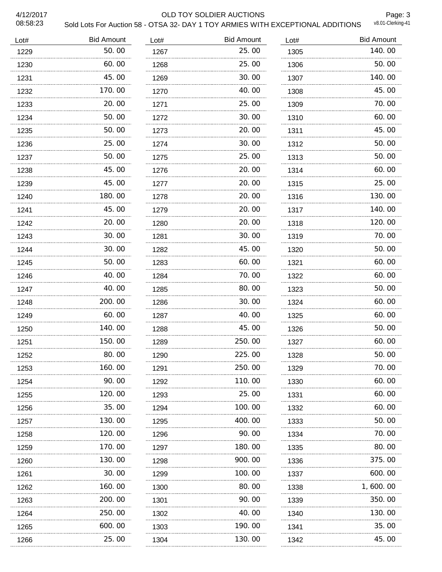#### 4/12/2017 OLD TOY SOLDIER AUCTIONS

Page: 3<br>v8.01-Clerking-41

| Lot# | <b>Bid Amount</b> | Lot# | <b>Bid Amount</b> | Lot# | <b>Bid Amount</b> |
|------|-------------------|------|-------------------|------|-------------------|
| 1229 | 50.00             | 1267 | 25.00             | 1305 | 140.00            |
| 1230 | 60.00             | 1268 | 25.00             | 1306 | 50.00             |
| 1231 | 45.00             | 1269 | 30.00             | 1307 | 140.00            |
| 1232 | 170.00            | 1270 | 40.00             | 1308 | 45.00             |
| 1233 | 20.00             | 1271 | 25.00             | 1309 | 70.00             |
| 1234 | 50.00             | 1272 | 30.00             | 1310 | 60.00             |
| 1235 | 50.00<br>.        | 1273 | 20.00             | 1311 | 45.00             |
| 1236 | 25.00             | 1274 | 30.00             | 1312 | 50.00             |
| 1237 | 50.00             | 1275 | 25.00             | 1313 | 50.00             |
| 1238 | 45.00             | 1276 | 20.00             | 1314 | 60.00             |
| 1239 | 45.00             | 1277 | 20.00             | 1315 | 25.00             |
| 1240 | 180.00            | 1278 | 20.00             | 1316 | 130.00            |
| 1241 | 45.00             | 1279 | 20.00             | 1317 | 140.00            |
| 1242 | 20.00             | 1280 | 20.00             | 1318 | 120.00            |
| 1243 | 30.00             | 1281 | 30.00             | 1319 | 70.00             |
| 1244 | 30.00             | 1282 | 45.00             | 1320 | 50.00             |
| 1245 | 50.00             | 1283 | 60.00             | 1321 | 60.00             |
| 1246 | 40.00             | 1284 | 70.00             | 1322 | 60.00             |
| 1247 | 40.00             | 1285 | 80.00             | 1323 | 50.00             |
| 1248 | 200.00            | 1286 | 30.00             | 1324 | 60.00             |
| 1249 | 60.00             | 1287 | 40.00             | 1325 | 60.00             |
| 1250 | 140.00            | 1288 | 45.00             | 1326 | 50.00             |
| 1251 | 150.00            | 1289 | 250.00            | 1327 | 60.00             |
| 1252 | 80.00             | 1290 | 225.00            | 1328 | 50.00             |
| 1253 | 160.00            | 1291 | 250.00            | 1329 | 70.00             |
| 1254 | 90.00             | 1292 | 110.00            | 1330 | 60.00             |
| 1255 | 120. 00           | 1293 | 25.00             | 1331 | 60.00             |
| 1256 | 35.00             | 1294 | 100.00            | 1332 | 60.00             |
| 1257 | 130. 00           | 1295 | 400.00            | 1333 | 50. 00            |
| 1258 | .<br>120.00       | 1296 | 90.00             | 1334 | 70.00             |
| 1259 | 170.00            | 1297 | 180.00            | 1335 | 80.00             |
| 1260 | .<br>130.00       | 1298 | 900.00            | 1336 | 375.00            |
| 1261 | 30.00             | 1299 | 100.00            | 1337 | 600.00            |
| 1262 | 160.00            | 1300 | 80.00             | 1338 | 1, 600. 00        |
| 1263 | 200.00            | 1301 | 90.00             | 1339 | 350.00            |
| 1264 | 250.00            | 1302 | 40.00             | 1340 | 130.00            |
| 1265 | 600.00            | 1303 | 190.00            | 1341 | 35.00             |
| 1266 | 25.00             | 1304 | 130.00            | 1342 | 45.00             |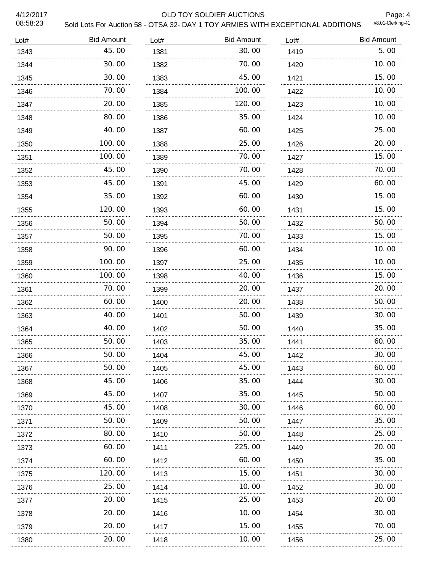#### 4/12/2017 OLD TOY SOLDIER AUCTIONS

Page: 4<br>v8.01-Clerking-41

| Lot# | <b>Bid Amount</b> | Lot# | <b>Bid Amount</b> | Lot# | <b>Bid Amount</b> |
|------|-------------------|------|-------------------|------|-------------------|
| 1343 | 45.00             | 1381 | 30.00             | 1419 | 5.00              |
| 1344 | 30.00             | 1382 | 70.00             | 1420 | 10.00             |
| 1345 | 30.00             | 1383 | 45.00             | 1421 | 15.00             |
| 1346 | 70.00             | 1384 | 100.00            | 1422 | 10.00             |
| 1347 | 20.00             | 1385 | 120.00            | 1423 | 10.00             |
| 1348 | 80.00             | 1386 | 35.00             | 1424 | 10.00             |
| 1349 | 40.00             | 1387 | 60.00             | 1425 | 25.00             |
| 1350 | 100.00            | 1388 | 25.00             | 1426 | 20.00             |
| 1351 | 100.00            | 1389 | 70.00             | 1427 | 15.00             |
| 1352 | 45.00             | 1390 | 70.00             | 1428 | 70.00             |
| 1353 | 45.00             | 1391 | 45.00             | 1429 | 60.00             |
| 1354 | 35.00             | 1392 | 60.00             | 1430 | 15.00             |
| 1355 | 120.00            | 1393 | 60.00             | 1431 | 15.00             |
| 1356 | 50.00             | 1394 | 50.00             | 1432 | 50.00             |
| 1357 | 50.00             | 1395 | 70.00             | 1433 | 15.00             |
| 1358 | 90.00             | 1396 | 60.00             | 1434 | 10.00             |
| 1359 | 100.00            | 1397 | 25.00             | 1435 | 10.00             |
| 1360 | 100.00            | 1398 | 40.00             | 1436 | 15.00             |
| 1361 | 70.00             | 1399 | 20.00             | 1437 | 20.00             |
| 1362 | 60.00             | 1400 | 20.00             | 1438 | 50.00             |
| 1363 | 40.00             | 1401 | 50.00             | 1439 | 30.00             |
| 1364 | 40.00             | 1402 | 50.00             | 1440 | 35.00             |
| 1365 | 50.00             | 1403 | 35.00             | 1441 | 60.00             |
| 1366 | 50.00             | 1404 | 45.00             | 1442 | 30.00             |
| 1367 | 50.00             | 1405 | 45.00             | 1443 | 60.00             |
| 1368 | 45.00             | 1406 | 35.00             | 1444 | 30.00             |
| 1369 | 45.00<br>.        | 1407 | 35.00             | 1445 | 50.00             |
| 1370 | 45.00             | 1408 | 30.00             | 1446 | 60.00             |
| 1371 | 50.00             | 1409 | 50.00             | 1447 | 35.00             |
| 1372 | 80.00             | 1410 | 50.00             | 1448 | 25.00             |
| 1373 | 60.00             | 1411 | 225.00            | 1449 | 20.00             |
| 1374 | 60.00             | 1412 | 60.00             | 1450 | 35.00             |
| 1375 | 120. 00           | 1413 | 15.00             | 1451 | 30.00             |
| 1376 | 25.00             | 1414 | 10.00             | 1452 | 30. 00            |
| 1377 | 20.00             | 1415 | 25.00             | 1453 | 20.00             |
| 1378 | 20.00             | 1416 | 10.00             | 1454 | 30.00             |
| 1379 | 20.00             | 1417 | 15.00             | 1455 | 70. 00            |
| 1380 | 20.00             | 1418 | 10.00             | 1456 | 25.00             |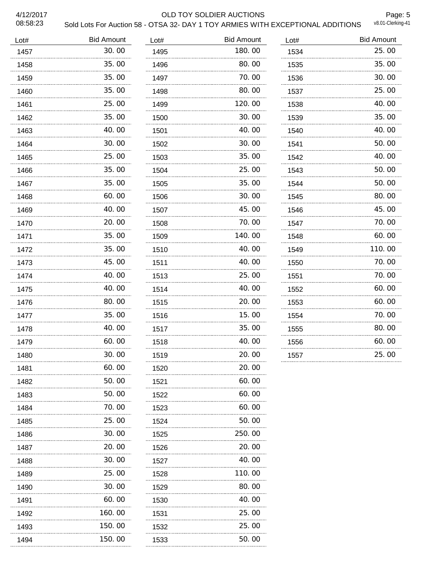#### 4/12/2017 OLD TOY SOLDIER AUCTIONS

Page: 5<br>v8.01-Clerking-41

| Lot# | <b>Bid Amount</b> | Lot# | <b>Bid Amount</b> | Lot# | <b>Bid Amount</b> |
|------|-------------------|------|-------------------|------|-------------------|
| 1457 | 30.00             | 1495 | 180.00            | 1534 | 25.00             |
| 1458 | 35.00             | 1496 | 80.00             | 1535 | 35.00             |
| 1459 | 35.00             | 1497 | 70.00             | 1536 | 30.00             |
| 1460 | 35.00             | 1498 | 80.00             | 1537 | 25.00             |
| 1461 | 25.00             | 1499 | 120.00            | 1538 | 40.00             |
| 1462 | 35.00             | 1500 | 30.00             | 1539 | 35.00             |
| 1463 | 40.00             | 1501 | 40.00             | 1540 | 40.00             |
| 1464 | 30.00             | 1502 | 30.00             | 1541 | 50.00             |
| 1465 | 25.00<br>.        | 1503 | 35.00             | 1542 | 40.00             |
| 1466 | 35.00             | 1504 | 25.00             | 1543 | 50.00             |
| 1467 | 35.00             | 1505 | 35.00             | 1544 | 50.00             |
| 1468 | 60.00             | 1506 | 30.00             | 1545 | 80.00             |
| 1469 | 40.00             | 1507 | 45.00             | 1546 | 45.00             |
| 1470 | 20.00             | 1508 | 70.00             | 1547 | 70.00             |
| 1471 | 35.00             | 1509 | 140.00            | 1548 | 60.00             |
| 1472 | 35.00             | 1510 | 40.00             | 1549 | 110.00            |
| 1473 | 45.00             | 1511 | 40.00             | 1550 | 70.00             |
| 1474 | 40.00             | 1513 | 25.00             | 1551 | 70.00             |
| 1475 | 40.00             | 1514 | 40.00             | 1552 | 60.00             |
| 1476 | 80.00             | 1515 | 20.00             | 1553 | 60.00             |
| 1477 | 35.00             | 1516 | 15.00             | 1554 | 70.00             |
| 1478 | 40.00             | 1517 | 35.00             | 1555 | 80.00             |
| 1479 | 60.00             | 1518 | 40.00             | 1556 | 60.00             |
| 1480 | 30.00             | 1519 | 20.00             | 1557 | 25.00             |
| 1481 | 60.00             | 1520 | 20.00             |      |                   |
| 1482 | 50.00             | 1521 | 60.00             |      |                   |
| 1483 | 50.00             | 1522 | 60. 00            |      |                   |
| 1484 | 70.00             | 1523 | 60.00             |      |                   |
| 1485 | 25.00             | 1524 | 50.00             |      |                   |
| 1486 | 30.00             | 1525 | 250.00            |      |                   |
| 1487 | 20. 00<br>.       | 1526 | 20. 00<br>.       |      |                   |
| 1488 | 30.00             | 1527 | 40.00             |      |                   |
| 1489 | 25.00             | 1528 | 110.00            |      |                   |
| 1490 | 30.00             | 1529 | 80.00             |      |                   |
| 1491 | 60. 00            | 1530 | 40. OO            |      |                   |
| 1492 | 160.00            | 1531 | 25.00             |      |                   |
| 1493 | 150.00            | 1532 | 25.00<br>.        |      |                   |
| 1494 | 150.00            | 1533 | 50.00             |      |                   |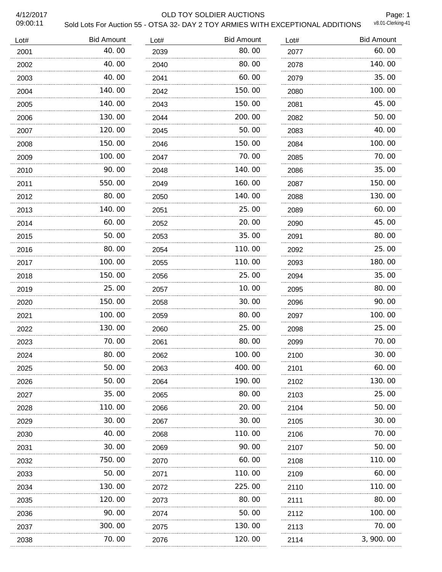#### 4/12/2017 OLD TOY SOLDIER AUCTIONS

Page: 1<br>v8.01-Clerking-41

| Lot# | <b>Bid Amount</b> | Lot# | <b>Bid Amount</b> | Lot# | <b>Bid Amount</b> |
|------|-------------------|------|-------------------|------|-------------------|
| 2001 | 40.00             | 2039 | 80.00             | 2077 | 60.00             |
| 2002 | 40.00             | 2040 | 80.00             | 2078 | 140.00            |
| 2003 | 40.00             | 2041 | 60.00             | 2079 | 35.00             |
| 2004 | 140.00            | 2042 | 150,00            | 2080 | 100.00            |
| 2005 | 140.00            | 2043 | 150.00            | 2081 | 45.00             |
| 2006 | 130.00            | 2044 | 200.00            | 2082 | 50.00             |
| 2007 | 120.00            | 2045 | 50.00             | 2083 | 40.00             |
| 2008 | 150.00            | 2046 | 150.00            | 2084 | 100.00            |
| 2009 | 100, 00<br>.      | 2047 | 70.00             | 2085 | 70.00             |
| 2010 | 90.00             | 2048 | 140.00            | 2086 | 35.00             |
| 2011 | 550.00            | 2049 | 160.00            | 2087 | 150.00            |
| 2012 | 80.00             | 2050 | 140.00            | 2088 | 130.00            |
| 2013 | 140.00            | 2051 | 25.00             | 2089 | 60.00             |
| 2014 | 60.00             | 2052 | 20.00             | 2090 | 45.00             |
| 2015 | 50.00             | 2053 | 35.00             | 2091 | 80.00             |
| 2016 | 80.00             | 2054 | 110.00            | 2092 | 25.00             |
| 2017 | 100.00            | 2055 | 110.00            | 2093 | 180.00            |
| 2018 | 150.00            | 2056 | 25.00             | 2094 | 35.00             |
| 2019 | 25.00             | 2057 | 10.00             | 2095 | 80.00             |
| 2020 | 150.00            | 2058 | 30.00             | 2096 | 90.00             |
| 2021 | 100.00            | 2059 | 80.00             | 2097 | 100.00            |
| 2022 | 130.00            | 2060 | 25.00             | 2098 | 25.00             |
| 2023 | 70.00             | 2061 | 80.00             | 2099 | 70.00             |
| 2024 | 80.00             | 2062 | 100.00            | 2100 | 30.00             |
| 2025 | 50.00             | 2063 | 400.00            | 2101 | 60.00             |
| 2026 | 50.00             | 2064 | 190.00            | 2102 | 130.00            |
| 2027 | 35.00             | 2065 | 80.00             | 2103 | 25.00             |
| 2028 | 110.00            | 2066 | 20.00             | 2104 | 50.00             |
| 2029 | 30. 00            | 2067 | 30.00             | 2105 | 30.00             |
| 2030 | 40.00             | 2068 | 110.00            | 2106 | 70.00             |
| 2031 | 30.00             | 2069 | 90. 00            | 2107 | 50.00             |
| 2032 | 750.00            | 2070 | 60.00             | 2108 | 110.00            |
| 2033 | 50.00             | 2071 | 110. 00           | 2109 | 60. 00            |
| 2034 | 130.00            | 2072 | 225.00            | 2110 | 110.00            |
| 2035 | 120.00            | 2073 | 80.00             | 2111 | 80.00             |
| 2036 | 90.00             | 2074 | 50.00             | 2112 | 100.00            |
| 2037 | 300.00            | 2075 | 130.00            | 2113 | 70.00             |
| 2038 | 70.00             | 2076 | 120.00            | 2114 | 3, 900. 00        |
|      |                   |      |                   |      |                   |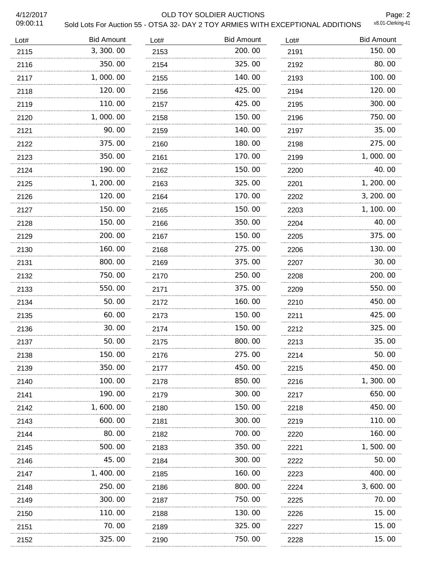#### 4/12/2017 OLD TOY SOLDIER AUCTIONS

Page: 2<br>v8.01-Clerking-41

| <b>Bid Amount</b> | Lot# | <b>Bid Amount</b> | Lot# | <b>Bid Amount</b> |
|-------------------|------|-------------------|------|-------------------|
| 3, 300.00         | 2153 | 200.00            | 2191 | 150.00            |
| 350.00            | 2154 | 325.00            | 2192 | 80.00             |
| 1,000.00          | 2155 | 140.00            | 2193 | 100.00            |
| 120.00            | 2156 | 425.00            | 2194 | 120.00            |
| 110.00            | 2157 | 425.00            | 2195 | 300.00            |
| 1,000.00          | 2158 | 150.00            | 2196 | 750.00            |
| 90.00             | 2159 | 140.00            | 2197 | 35.00             |
| 375.00            | 2160 | 180.00            | 2198 | 275.00            |
| 350.00            | 2161 | 170.00            | 2199 | 1,000.00          |
| 190.00            | 2162 | 150.00            | 2200 | 40.00             |
| 1, 200. 00        | 2163 | 325.00            | 2201 | 1, 200. 00        |
| 120.00            | 2164 | 170.00            | 2202 | 3, 200. 00        |
| 150.00            | 2165 | 150.00            | 2203 | 1, 100. 00        |
| 150.00            | 2166 | 350.00            | 2204 | 40.00             |
| 200.00            | 2167 | 150.00            | 2205 | 375.00            |
| 160.00            | 2168 | 275.00            | 2206 | 130.00            |
| 800.00            | 2169 | 375.00            | 2207 | 30.00             |
| 750.00            | 2170 | 250.00            | 2208 | 200.00            |
| 550.00            | 2171 | 375.00            | 2209 | 550.00            |
| 50.00             | 2172 | 160.00            | 2210 | 450.00            |
| 60.00             | 2173 | 150,00            | 2211 | 425.00            |
| 30.00             | 2174 | 150.00            | 2212 | 325.00            |
| 50.00             | 2175 | 800.00            | 2213 | 35.00             |
| 150.00            | 2176 | 275.00            | 2214 | 50.00             |
| 350.00            | 2177 | 450.00            | 2215 | 450.00            |
| 100.00            | 2178 | 850.00            | 2216 | 1, 300. 00        |
| 190.00            | 2179 | 300.00            | 2217 | 650.00            |
| 1, 600. 00        | 2180 | 150,00            | 2218 | 450.00            |
| 600.00            | 2181 | 300.00            | 2219 | 110. 00           |
| 80.00             | 2182 | 700.00            | 2220 | 160.00            |
| 500. 00           | 2183 | 350.00            | 2221 | 1, 500. 00        |
| 45.00             | 2184 | 300.00            | 2222 | 50.00             |
| 1, 400. 00        | 2185 | 160. 00           | 2223 | 400.00            |
| 250.00            | 2186 | 800.00            | 2224 | 3,600.00          |
| 300.00            | 2187 | 750.00            | 2225 | 70. 00            |
| 110.00            | 2188 | 130.00            | 2226 | 15.00             |
| 70.00             | 2189 | 325.00            | 2227 | 15.00             |
| 325.00            | 2190 | 750.00            | 2228 | 15.00             |
|                   | .    |                   |      |                   |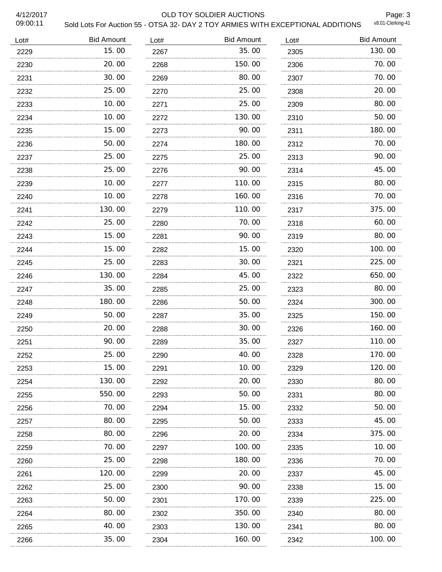#### 4/12/2017 OLD TOY SOLDIER AUCTIONS

Page: 3<br>v8.01-Clerking-41

| Lot# | <b>Bid Amount</b> | Lot# | <b>Bid Amount</b> | Lot# | <b>Bid Amount</b> |
|------|-------------------|------|-------------------|------|-------------------|
| 2229 | 15.00             | 2267 | 35.00             | 2305 | 130.00            |
| 2230 | 20.00             | 2268 | 150.00            | 2306 | 70.00             |
| 2231 | 30.00             | 2269 | 80.00             | 2307 | 70.00             |
| 2232 | 25.00             | 2270 | 25.00             | 2308 | 20.00             |
| 2233 | 10.00<br>.        | 2271 | 25,00             | 2309 | 80.00             |
| 2234 | 10.00             | 2272 | 130.00            | 2310 | 50.00             |
| 2235 | 15.00             | 2273 | 90.00             | 2311 | 180.00            |
| 2236 | 50.00             | 2274 | 180.00            | 2312 | 70.00             |
| 2237 | 25.00             | 2275 | 25.00             | 2313 | 90.00             |
| 2238 | 25.00             | 2276 | 90.00             | 2314 | 45.00             |
| 2239 | 10.00             | 2277 | 110.00            | 2315 | 80.00             |
| 2240 | 10.00             | 2278 | 160.00            | 2316 | 70.00             |
| 2241 | 130.00            | 2279 | 110.00            | 2317 | 375.00            |
| 2242 | 25.00             | 2280 | 70.00             | 2318 | 60.00             |
| 2243 | 15.00             | 2281 | 90.00             | 2319 | 80.00             |
| 2244 | 15.00             | 2282 | 15.00             | 2320 | 100.00            |
| 2245 | 25.00             | 2283 | 30.00             | 2321 | 225.00            |
| 2246 | 130.00            | 2284 | 45.00             | 2322 | 650.00            |
| 2247 | 35.00             | 2285 | 25,00             | 2323 | 80.00             |
| 2248 | 180.00            | 2286 | 50.00             | 2324 | 300.00            |
| 2249 | 50.00             | 2287 | 35.00             | 2325 | 150.00            |
| 2250 | 20.00             | 2288 | 30.00             | 2326 | 160.00            |
| 2251 | 90.00             | 2289 | 35.00             | 2327 | 110.00            |
| 2252 | 25.00             | 2290 | 40.00             | 2328 | 170.00            |
| 2253 | 15.00             | 2291 | 10.00             | 2329 | 120.00            |
| 2254 | 130.00            | 2292 | 20.00             | 2330 | 80.00             |
| 2255 | 550.00<br>.       | 2293 | 50.00             | 2331 | 80.00             |
| 2256 | 70.00             | 2294 | 15.00             | 2332 | 50.00             |
| 2257 | 80.00             | 2295 | 50.00             | 2333 | 45.00             |
| 2258 | 80.00             | 2296 | 20.00             | 2334 | 375.00            |
| 2259 | 70.00             | 2297 | 100. 00           | 2335 | 10.00             |
| 2260 | 25.00             | 2298 | 180.00            | 2336 | 70.00             |
| 2261 | 120.00            | 2299 | 20.00             | 2337 | 45.00             |
| 2262 | 25.00             | 2300 | 90.00             | 2338 | 15.00             |
| 2263 | 50.00             | 2301 | 170.00            | 2339 | 225.00            |
| 2264 | 80.00             | 2302 | 350.00            | 2340 | 80.00             |
| 2265 | 40. OO            | 2303 | 130.00            | 2341 | 80.00             |
| 2266 | 35.00             | 2304 | 160.00            | 2342 | 100.00            |
|      |                   |      |                   | .    |                   |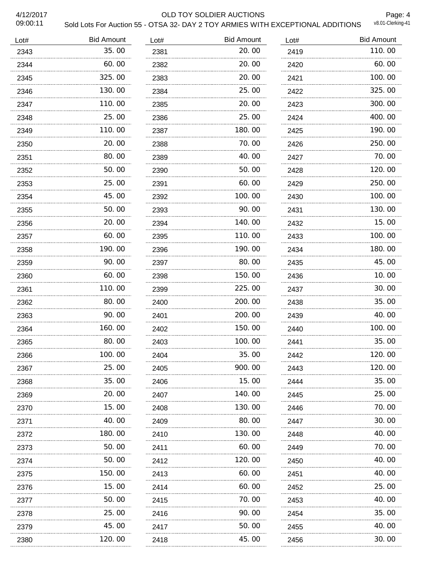#### 4/12/2017 OLD TOY SOLDIER AUCTIONS

Page: 4<br>v8.01-Clerking-41

| Lot# | <b>Bid Amount</b> | Lot# | <b>Bid Amount</b> | Lot# | <b>Bid Amount</b> |
|------|-------------------|------|-------------------|------|-------------------|
| 2343 | 35.00             | 2381 | 20.00             | 2419 | 110.00            |
| 2344 | 60.00             | 2382 | 20.00             | 2420 | 60.00             |
| 2345 | 325.00            | 2383 | 20.00             | 2421 | 100.00            |
| 2346 | 130.00            | 2384 | 25.00             | 2422 | 325.00            |
| 2347 | 110.00            | 2385 | 20.00             | 2423 | 300.00            |
| 2348 | 25.00             | 2386 | 25.00             | 2424 | 400.00            |
| 2349 | 110.00            | 2387 | 180.00            | 2425 | 190.00            |
| 2350 | 20.00             | 2388 | 70.00             | 2426 | 250.00            |
| 2351 | 80.00             | 2389 | 40.00             | 2427 | 70.00             |
| 2352 | 50.00             | 2390 | 50.00             | 2428 | 120.00            |
| 2353 | 25.00             | 2391 | 60.00             | 2429 | 250.00            |
| 2354 | 45.00             | 2392 | 100.00            | 2430 | 100.00            |
| 2355 | 50.00             | 2393 | 90.00             | 2431 | 130.00            |
| 2356 | 20.00             | 2394 | 140.00            | 2432 | 15.00             |
| 2357 | 60.00             | 2395 | 110.00            | 2433 | 100.00            |
| 2358 | 190.00            | 2396 | 190.00            | 2434 | 180.00            |
| 2359 | 90.00             | 2397 | 80.00             | 2435 | 45.00             |
| 2360 | 60.00             | 2398 | 150.00            | 2436 | 10.00             |
| 2361 | 110.00            | 2399 | 225.00            | 2437 | 30.00             |
| 2362 | 80.00             | 2400 | 200.00            | 2438 | 35.00             |
| 2363 | 90.00             | 2401 | 200, 00           | 2439 | 40.00             |
| 2364 | 160.00            | 2402 | 150.00            | 2440 | 100.00            |
| 2365 | 80.00             | 2403 | 100.00            | 2441 | 35.00             |
| 2366 | 100.00            | 2404 | 35.00             | 2442 | 120.00            |
| 2367 | 25.00             | 2405 | 900.00            | 2443 | 120.00            |
| 2368 | 35.00             | 2406 | 15.00             | 2444 | 35.00             |
| 2369 | 20.00             | 2407 | 140. 00           | 2445 | 25.00             |
| 2370 | 15.00             | 2408 | 130. 00           | 2446 | 70.00             |
| 2371 | 40.00             | 2409 | 80.00             | 2447 | 30.00             |
| 2372 | 180. 00           | 2410 | 130.00            | 2448 | 40.00             |
| 2373 | 50.00             | 2411 | 60.00             | 2449 | 70.00             |
| 2374 | 50.00             | 2412 | 120.00            | 2450 | 40.00             |
| 2375 | 150.00            | 2413 | 60.00             | 2451 | 40.00             |
| 2376 | 15.00             | 2414 | 60.00             | 2452 | 25.00             |
| 2377 | 50.00             | 2415 | 70.00             | 2453 | 40.00             |
| 2378 | 25.00             | 2416 | 90.00             | 2454 | 35.00             |
| 2379 | 45.00             | 2417 | 50.00             | 2455 | 40.00             |
| 2380 | 120. 00           | 2418 | 45.00             | 2456 | 30.00             |
|      |                   |      |                   |      |                   |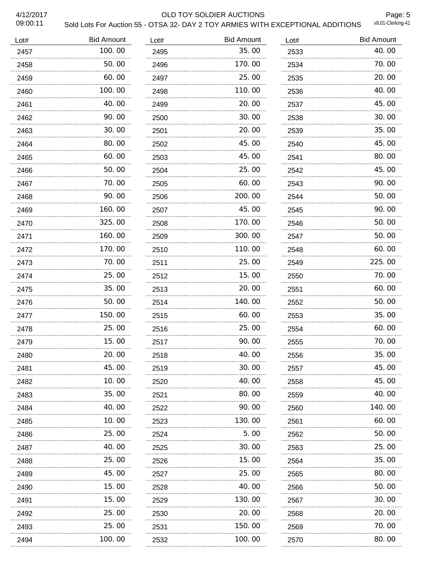#### 4/12/2017 OLD TOY SOLDIER AUCTIONS

Page: 5<br>v8.01-Clerking-41

| Lot# | <b>Bid Amount</b> | Lot# | <b>Bid Amount</b> | Lot# | <b>Bid Amount</b> |
|------|-------------------|------|-------------------|------|-------------------|
| 2457 | 100.00            | 2495 | 35.00             | 2533 | 40.00             |
| 2458 | 50.00             | 2496 | 170.00            | 2534 | 70.00             |
| 2459 | 60.00             | 2497 | 25.00             | 2535 | 20.00             |
| 2460 | 100.00            | 2498 | 110.00            | 2536 | 40.00             |
| 2461 | 40.00             | 2499 | 20.00             | 2537 | 45.00             |
| 2462 | 90.00             | 2500 | 30.00             | 2538 | 30.00             |
| 2463 | 30.00             | 2501 | 20.00             | 2539 | 35.00             |
| 2464 | 80.00             | 2502 | 45.00             | 2540 | 45.00             |
| 2465 | 60.00             | 2503 | 45.00             | 2541 | 80.00             |
| 2466 | 50.00             | 2504 | 25.00             | 2542 | 45.00             |
| 2467 | 70.00             | 2505 | 60.00             | 2543 | 90.00             |
| 2468 | 90.00             | 2506 | 200.00            | 2544 | 50.00             |
| 2469 | 160.00            | 2507 | 45.00             | 2545 | 90.00             |
| 2470 | 325.00            | 2508 | 170.00            | 2546 | 50.00             |
| 2471 | 160.00            | 2509 | 300.00            | 2547 | 50.00             |
| 2472 | 170.00            | 2510 | 110.00            | 2548 | 60.00             |
| 2473 | 70.00             | 2511 | 25.00             | 2549 | 225.00            |
| 2474 | 25.00             | 2512 | 15.00             | 2550 | 70.00             |
| 2475 | 35.00             | 2513 | 20.00             | 2551 | 60.00             |
| 2476 | 50.00             | 2514 | 140.00            | 2552 | 50.00             |
| 2477 | 150.00            | 2515 | 60.00             | 2553 | 35.00             |
| 2478 | 25.00             | 2516 | 25.00             | 2554 | 60.00             |
| 2479 | 15.00             | 2517 | 90.00             | 2555 | 70.00             |
| 2480 | 20.00             | 2518 | 40.00             | 2556 | 35.00             |
| 2481 | 45.00             | 2519 | 30.00             | 2557 | 45.00             |
| 2482 | 10.00             | 2520 | 40.00             | 2558 | 45.00             |
| 2483 | 35.00             | 2521 | 80.00             | 2559 | 40.00             |
| 2484 | 40.00             | 2522 | 90.00             | 2560 | 140. 00           |
| 2485 | 10.00             | 2523 | 130. 00           | 2561 | 60.00             |
| 2486 | 25.00             | 2524 | 5.00              | 2562 | 50.00             |
| 2487 | 40.00             | 2525 | 30.00             | 2563 | 25.00             |
| 2488 | 25.00             | 2526 | 15.00             | 2564 | 35.00             |
| 2489 | 45.00             | 2527 | 25.00             | 2565 | 80.00             |
| 2490 | 15.00             | 2528 | 40.00             | 2566 | 50.00             |
| 2491 | 15.00             | 2529 | 130.00            | 2567 | 30.00             |
| 2492 | 25.00             | 2530 | 20.00             | 2568 | 20.00             |
| 2493 | 25.00             | 2531 | 150.00            | 2569 | 70.00             |
| 2494 | 100.00            | 2532 | 100.00            | 2570 | 80.00             |
|      |                   |      |                   |      |                   |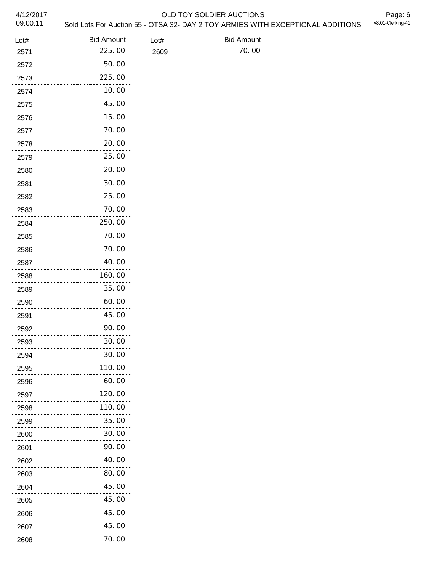#### 4/12/2017 OLD TOY SOLDIER AUCTIONS

Page: 6<br>v8.01-Clerking-41

09:00:11

# Sold Lots For Auction 55 - OTSA 32- DAY 2 TOY ARMIES WITH EXCEPTIONAL ADDITIONS

| Lot# | <b>Bid Amount</b> | Lot# | <b>Bid Amount</b> |
|------|-------------------|------|-------------------|
| 2571 | 225.00            | 2609 | 70.00             |
| 2572 | 50.00             |      |                   |
| 2573 | 225.00            |      |                   |
| 2574 | 10.00             |      |                   |
| 2575 | 45.00             |      |                   |
| 2576 | 15.00             |      |                   |
| 2577 | 70.00             |      |                   |
| 2578 | 20.00             |      |                   |
| 2579 | 25.00             |      |                   |
| 2580 | 20.00             |      |                   |
| 2581 | 30.00             |      |                   |
| 2582 | 25.00             |      |                   |
| 2583 | 70.00             |      |                   |
| 2584 | 250.00            |      |                   |
| 2585 | 70.00             |      |                   |
| 2586 | 70.00             |      |                   |
| 2587 | 40.00             |      |                   |
| 2588 | 160.00            |      |                   |
| 2589 | 35.00             |      |                   |
| 2590 | 60.00             |      |                   |
| 2591 | 45.00             |      |                   |
| 2592 | 90.00             |      |                   |
| 2593 | 30.00             |      |                   |
| 2594 | 30.00             |      |                   |
| 2595 | 110.00            |      |                   |
| 2596 | 60.00             |      |                   |
| 2597 | 120.00            |      |                   |
| 2598 | 110.00            |      |                   |
| 2599 | 35.00             |      |                   |
| 2600 | 30.00             |      |                   |
| 2601 | 90.00             |      |                   |
| 2602 | 40.00             |      |                   |
| 2603 | 80.00             |      |                   |
| 2604 | 45.00             |      |                   |
| 2605 | 45.00             |      |                   |
| 2606 | 45.00             |      |                   |
| 2607 | 45.00             |      |                   |
| 2608 | 70.00             |      |                   |

70.00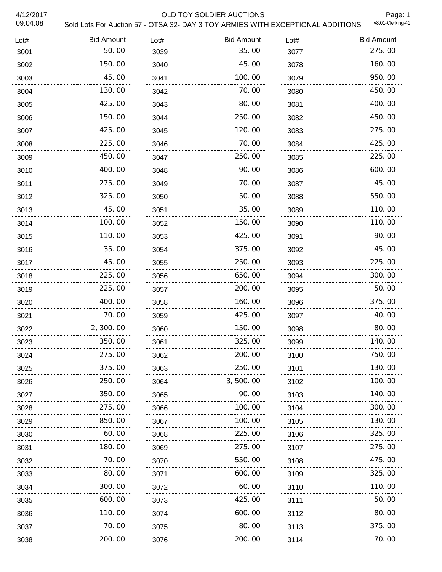#### 4/12/2017 OLD TOY SOLDIER AUCTIONS

Page: 1<br>v8.01-Clerking-41

| Lot# | <b>Bid Amount</b> | Lot# | <b>Bid Amount</b> | Lot# | <b>Bid Amount</b> |
|------|-------------------|------|-------------------|------|-------------------|
| 3001 | 50.00             | 3039 | 35.00             | 3077 | 275.00            |
| 3002 | 150.00            | 3040 | 45.00             | 3078 | 160.00            |
| 3003 | 45.00             | 3041 | 100.00            | 3079 | 950.00            |
| 3004 | 130.00            | 3042 | 70.00             | 3080 | 450.00            |
| 3005 | 425.00            | 3043 | 80.00             | 3081 | 400.00            |
| 3006 | 150.00            | 3044 | 250.00            | 3082 | 450.00            |
| 3007 | 425.00            | 3045 | 120.00            | 3083 | 275.00            |
| 3008 | 225.00            | 3046 | 70.00             | 3084 | 425.00            |
| 3009 | 450.00            | 3047 | 250.00            | 3085 | 225.00            |
| 3010 | 400.00            | 3048 | 90.00             | 3086 | 600.00            |
| 3011 | 275.00            | 3049 | 70.00             | 3087 | 45.00             |
| 3012 | 325.00            | 3050 | 50.00             | 3088 | 550.00            |
| 3013 | 45.00             | 3051 | 35.00             | 3089 | 110.00            |
| 3014 | 100.00            | 3052 | 150.00            | 3090 | 110.00            |
| 3015 | 110.00            | 3053 | 425.00            | 3091 | 90.00             |
| 3016 | 35.00             | 3054 | 375.00            | 3092 | 45.00             |
| 3017 | 45.00             | 3055 | 250.00            | 3093 | 225.00            |
| 3018 | 225.00            | 3056 | 650.00            | 3094 | 300.00            |
| 3019 | 225.00            | 3057 | 200.00            | 3095 | 50.00             |
| 3020 | 400.00            | 3058 | 160.00            | 3096 | 375.00            |
| 3021 | 70.00             | 3059 | 425,00            | 3097 | 40.00             |
| 3022 | 2, 300.00         | 3060 | 150.00            | 3098 | 80.00             |
| 3023 | 350.00            | 3061 | 325.00            | 3099 | 140.00            |
| 3024 | 275.00            | 3062 | 200.00            | 3100 | 750.00            |
| 3025 | 375.00            | 3063 | 250.00            | 3101 | 130.00            |
| 3026 | 250.00            | 3064 | 3,500.00          | 3102 | 100.00            |
| 3027 | 350.00            | 3065 | 90.00             | 3103 | 140.00            |
| 3028 | 275.00            | 3066 | 100.00            | 3104 | 300.00            |
| 3029 | 850.00            | 3067 | 100.00            | 3105 | 130.00            |
| 3030 | 60.00             | 3068 | 225.00            | 3106 | 325.00            |
| 3031 | 180. 00           | 3069 | 275.00            | 3107 | 275.00            |
| 3032 | 70. 00            | 3070 | 550.00            | 3108 | 475.00            |
| 3033 | 80.00<br>.        | 3071 | 600.00            | 3109 | 325.00            |
| 3034 | 300.00            | 3072 | 60.00             | 3110 | 110.00            |
| 3035 | 600.00            | 3073 | 425.00            | 3111 | 50.00             |
| 3036 | 110.00            | 3074 | 600.00            | 3112 | 80.00             |
| 3037 | 70.00             | 3075 | 80.00             | 3113 | 375.00            |
| 3038 | 200.00            | 3076 | 200.00            | 3114 | 70.00             |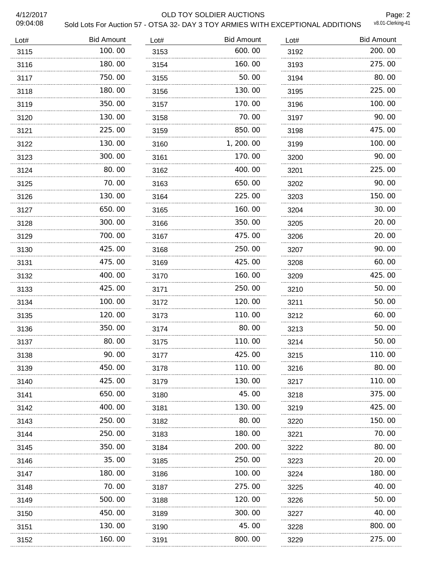#### 4/12/2017 OLD TOY SOLDIER AUCTIONS

Page: 2<br>v8.01-Clerking-41

| Lot# | <b>Bid Amount</b> | Lot# | <b>Bid Amount</b> | Lot# | <b>Bid Amount</b> |
|------|-------------------|------|-------------------|------|-------------------|
| 3115 | 100.00            | 3153 | 600.00            | 3192 | 200.00            |
| 3116 | 180, 00           | 3154 | 160.00            | 3193 | 275.00            |
| 3117 | 750.00            | 3155 | 50.00             | 3194 | 80.00             |
| 3118 | 180.00            | 3156 | 130.00            | 3195 | 225.00            |
| 3119 | 350.00            | 3157 | 170.00            | 3196 | 100.00            |
| 3120 | 130.00            | 3158 | 70.00             | 3197 | 90.00             |
| 3121 | 225.00            | 3159 | 850.00            | 3198 | 475.00            |
| 3122 | 130.00            | 3160 | 1, 200. 00        | 3199 | 100.00            |
| 3123 | 300.00            | 3161 | 170.00            | 3200 | 90.00             |
| 3124 | 80.00             | 3162 | 400.00            | 3201 | 225.00            |
| 3125 | 70.00             | 3163 | 650.00            | 3202 | 90.00             |
| 3126 | 130.00            | 3164 | 225.00            | 3203 | 150.00            |
| 3127 | 650.00            | 3165 | 160.00            | 3204 | 30.00             |
| 3128 | 300.00            | 3166 | 350.00            | 3205 | 20.00             |
| 3129 | 700.00            | 3167 | 475.00            | 3206 | 20.00             |
| 3130 | 425.00            | 3168 | 250.00            | 3207 | 90.00             |
| 3131 | 475.00            | 3169 | 425.00            | 3208 | 60.00             |
| 3132 | 400.00            | 3170 | 160.00            | 3209 | 425.00            |
| 3133 | 425.00            | 3171 | 250.00            | 3210 | 50.00             |
| 3134 | 100.00            | 3172 | 120.00            | 3211 | 50.00             |
| 3135 | 120.00            | 3173 | 110.00            | 3212 | 60.00             |
| 3136 | 350.00            | 3174 | 80.00             | 3213 | 50.00             |
| 3137 | 80.00             | 3175 | 110.00            | 3214 | 50.00             |
| 3138 | 90.00             | 3177 | 425.00            | 3215 | 110.00            |
| 3139 | 450.00            | 3178 | 110.00            | 3216 | 80.00             |
| 3140 | 425.00            | 3179 | 130.00            | 3217 | 110.00            |
| 3141 | 650.00            | 3180 | 45.00             | 3218 | 375.00            |
| 3142 | 400.00            | 3181 | 130.00            | 3219 | 425.00            |
| 3143 | 250.00            | 3182 | 80.00             | 3220 | 150.00            |
| 3144 | 250.00            | 3183 | 180.00            | 3221 | 70.00             |
| 3145 | 350.00            | 3184 | 200.00            | 3222 | 80.00             |
| 3146 | 35.00             | 3185 | 250.00            | 3223 | 20.00             |
| 3147 | 180. 00           | 3186 | 100.00            | 3224 | 180.00            |
| 3148 | 70.00             | 3187 | 275.00            | 3225 | 40.00             |
| 3149 | 500.00            | 3188 | 120.00            | 3226 | 50.00             |
| 3150 | 450.00            | 3189 | 300.00            | 3227 | 40.00             |
| 3151 | 130.00            | 3190 | 45.00             | 3228 | 800.00            |
| 3152 | 160. 00           | 3191 | 800.00            | 3229 | 275.00            |
|      |                   |      |                   |      |                   |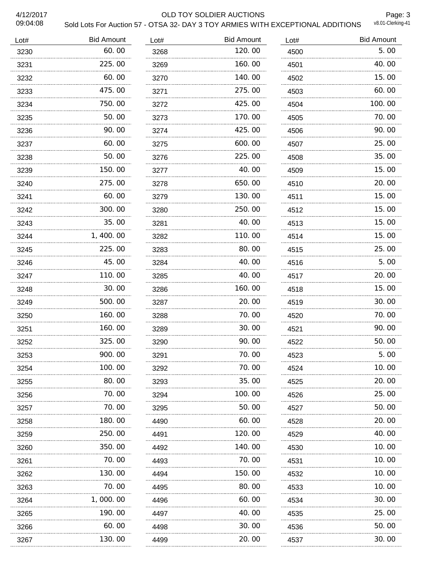#### 4/12/2017 OLD TOY SOLDIER AUCTIONS

Page: 3<br>v8.01-Clerking-41

| Lot# | <b>Bid Amount</b> | Lot# | <b>Bid Amount</b> | Lot# | <b>Bid Amount</b> |
|------|-------------------|------|-------------------|------|-------------------|
| 3230 | 60.00             | 3268 | 120.00            | 4500 | 5.00              |
| 3231 | 225.00            | 3269 | 160.00            | 4501 | 40.00             |
| 3232 | 60.00             | 3270 | 140.00            | 4502 | 15.00             |
| 3233 | 475.00            | 3271 | 275.00            | 4503 | 60.00             |
| 3234 | 750.00            | 3272 | 425.00            | 4504 | 100.00            |
| 3235 | 50.00             | 3273 | 170.00            | 4505 | 70.00             |
| 3236 | 90.00             | 3274 | 425.00            | 4506 | 90.00             |
| 3237 | 60.00             | 3275 | 600.00            | 4507 | 25.00             |
| 3238 | 50.00             | 3276 | 225.00            | 4508 | 35.00             |
| 3239 | 150.00            | 3277 | 40.00             | 4509 | 15.00             |
| 3240 | 275.00            | 3278 | 650.00            | 4510 | 20.00             |
| 3241 | 60.00             | 3279 | 130.00            | 4511 | 15.00             |
| 3242 | 300.00            | 3280 | 250.00            | 4512 | 15.00             |
| 3243 | 35.00             | 3281 | 40.00             | 4513 | 15.00             |
| 3244 | 1,400.00          | 3282 | 110.00            | 4514 | 15.00             |
| 3245 | 225.00            | 3283 | 80.00             | 4515 | 25.00             |
| 3246 | 45.00             | 3284 | 40.00             | 4516 | 5.00              |
| 3247 | 110.00            | 3285 | 40.00             | 4517 | 20.00             |
| 3248 | 30.00             | 3286 | 160.00            | 4518 | 15.00             |
| 3249 | 500.00            | 3287 | 20.00             | 4519 | 30.00             |
| 3250 | 160.00            | 3288 | 70.00             | 4520 | 70.00             |
| 3251 | 160.00            | 3289 | 30.00             | 4521 | 90.00             |
| 3252 | .<br>325.00       | 3290 | 90.00             | 4522 | 50.00             |
| 3253 | 900.00            | 3291 | 70.00             | 4523 | 5.00              |
| 3254 | 100.00            | 3292 | 70.00             | 4524 | 10.00             |
| 3255 | 80.00             | 3293 | 35.00             | 4525 | 20.00             |
| 3256 | 70. 00            | 3294 | 100.00            | 4526 | 25.00             |
| 3257 | 70. 00            | 3295 | 50.00             | 4527 | 50.00             |
| 3258 | 180.00            | 4490 | 60.00             | 4528 | 20.00             |
| 3259 | 250.00            | 4491 | 120.00            | 4529 | 40.00             |
| 3260 | 350.00            | 4492 | 140.00            | 4530 | 10. 00            |
| 3261 | 70. 00            | 4493 | 70.00             | 4531 | 10. 00            |
| 3262 | 130.00            | 4494 | 150.00            | 4532 | 10.00             |
| 3263 | 70.00             | 4495 | 80.00             | 4533 | 10.00             |
| 3264 | 1,000.00          | 4496 | 60.00             | 4534 | 30.00             |
| 3265 | 190.00            | 4497 | 40.00             | 4535 | 25.00             |
| 3266 | 60.00             | 4498 | 30.00             | 4536 | 50.00             |
| 3267 | 130.00            | 4499 | 20.00             | 4537 | 30.00             |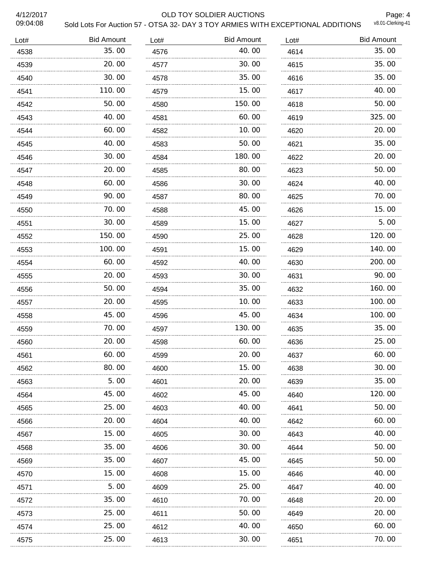#### 4/12/2017 OLD TOY SOLDIER AUCTIONS

Page: 4<br>v8.01-Clerking-41

| Lot# | <b>Bid Amount</b> | Lot# | <b>Bid Amount</b> | Lot# | <b>Bid Amount</b> |
|------|-------------------|------|-------------------|------|-------------------|
| 4538 | 35.00             | 4576 | 40.00             | 4614 | 35.00             |
| 4539 | 20.00             | 4577 | 30.00             | 4615 | 35.00             |
| 4540 | 30.00             | 4578 | 35.00             | 4616 | 35.00             |
| 4541 | 110.00            | 4579 | 15.00             | 4617 | 40.00             |
| 4542 | 50.00             | 4580 | 150.00            | 4618 | 50.00             |
| 4543 | 40.00             | 4581 | 60.00             | 4619 | 325.00            |
| 4544 | 60.00             | 4582 | 10.00             | 4620 | 20.00             |
| 4545 | 40.00             | 4583 | 50.00             | 4621 | 35.00             |
| 4546 | 30.00             | 4584 | 180.00            | 4622 | 20.00             |
| 4547 | 20.00             | 4585 | 80.00             | 4623 | 50.00             |
| 4548 | 60.00             | 4586 | 30.00             | 4624 | 40.00             |
| 4549 | 90.00             | 4587 | 80.00             | 4625 | 70.00             |
| 4550 | 70.00             | 4588 | 45.00             | 4626 | 15.00             |
| 4551 | 30.00             | 4589 | 15.00             | 4627 | 5.00              |
| 4552 | 150.00            | 4590 | 25.00             | 4628 | 120.00            |
| 4553 | 100.00            | 4591 | 15.00             | 4629 | 140.00            |
| 4554 | 60.00             | 4592 | 40.00             | 4630 | 200.00            |
| 4555 | 20.00             | 4593 | 30.00             | 4631 | 90.00             |
| 4556 | 50.00             | 4594 | 35.00             | 4632 | 160.00            |
| 4557 | 20.00             | 4595 | 10.00             | 4633 | 100.00            |
| 4558 | 45.00             | 4596 | 45.00             | 4634 | 100.00            |
| 4559 | 70.00             | 4597 | 130.00            | 4635 | 35.00             |
| 4560 | 20.00             | 4598 | 60.00             | 4636 | 25.00             |
| 4561 | 60.00             | 4599 | 20.00             | 4637 | 60.00             |
| 4562 | 80.00             | 4600 | 15.00             | 4638 | 30.00             |
| 4563 | 5.00              | 4601 | 20.00             | 4639 | 35.00             |
| 4564 | 45.00             | 4602 | 45.00             | 4640 | 120.00            |
| 4565 | 25.00             | 4603 | 40.00             | 4641 | 50.00             |
| 4566 | 20.00             | 4604 | 40.00             | 4642 | 60.00             |
| 4567 | 15.00             | 4605 | 30.00             | 4643 | 40.00             |
| 4568 | 35.00             | 4606 | 30.00             | 4644 | 50.00             |
| 4569 | 35.00             | 4607 | 45.00             | 4645 | 50.00             |
| 4570 | 15.00             | 4608 | 15.00             | 4646 | 40.00             |
| 4571 | 5.00              | 4609 | 25.00             | 4647 | 40.00             |
| 4572 | 35.00             | 4610 | 70.00             | 4648 | 20.00             |
| 4573 | 25.00             | 4611 | 50.00             | 4649 | 20.00             |
| 4574 | 25.00             | 4612 | 40.00             | 4650 | 60.00             |
| 4575 | 25.00             | 4613 | 30.00             | 4651 | 70.00             |
|      |                   |      |                   |      |                   |